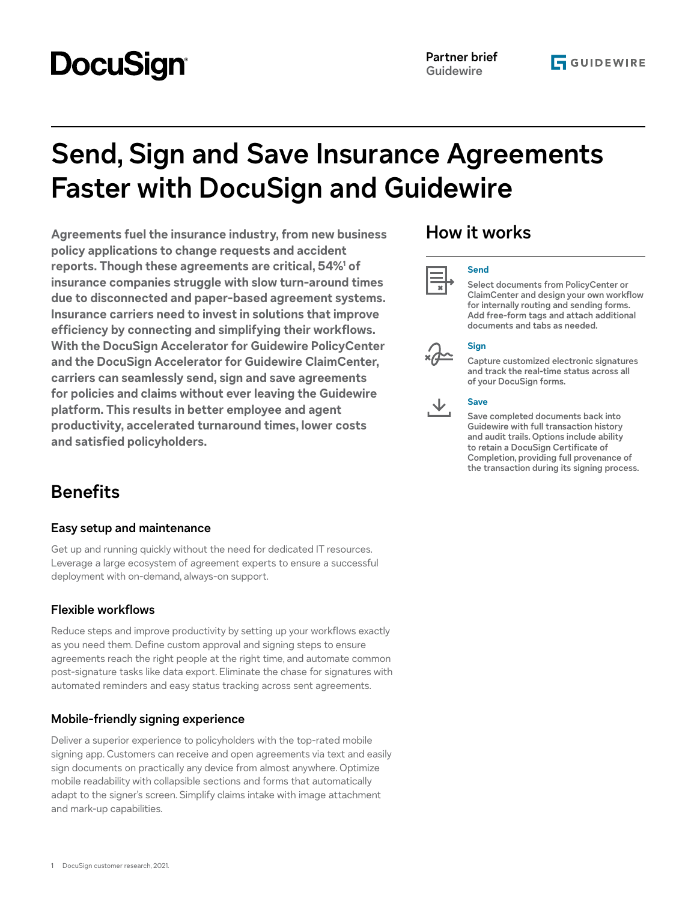# **DocuSign**

# **Send, Sign and Save Insurance Agreements Faster with DocuSign and Guidewire**

**Agreements fuel the insurance industry, from new business policy applications to change requests and accident reports. Though these agreements are critical, 54%1 of insurance companies struggle with slow turn-around times due to disconnected and paper-based agreement systems. Insurance carriers need to invest in solutions that improve efficiency by connecting and simplifying their workflows. With the DocuSign Accelerator for Guidewire PolicyCenter and the DocuSign Accelerator for Guidewire ClaimCenter, carriers can seamlessly send, sign and save agreements for policies and claims without ever leaving the Guidewire platform. This results in better employee and agent productivity, accelerated turnaround times, lower costs and satisfied policyholders.**

# **Benefits**

## **Easy setup and maintenance**

Get up and running quickly without the need for dedicated IT resources. Leverage a large ecosystem of agreement experts to ensure a successful deployment with on-demand, always-on support.

## **Flexible workflows**

Reduce steps and improve productivity by setting up your workflows exactly as you need them. Define custom approval and signing steps to ensure agreements reach the right people at the right time, and automate common post-signature tasks like data export. Eliminate the chase for signatures with automated reminders and easy status tracking across sent agreements.

## **Mobile-friendly signing experience**

Deliver a superior experience to policyholders with the top-rated mobile signing app. Customers can receive and open agreements via text and easily sign documents on practically any device from almost anywhere. Optimize mobile readability with collapsible sections and forms that automatically adapt to the signer's screen. Simplify claims intake with image attachment and mark-up capabilities.

## **How it works**



#### **Send**

**Select documents from PolicyCenter or ClaimCenter and design your own workflow for internally routing and sending forms. Add free-form tags and attach additional documents and tabs as needed.** 

### **Sign**

**Capture customized electronic signatures and track the real-time status across all of your DocuSign forms.** 

#### **Save**

**Save completed documents back into Guidewire with full transaction history and audit trails. Options include ability to retain a DocuSign Certificate of Completion, providing full provenance of the transaction during its signing process.**